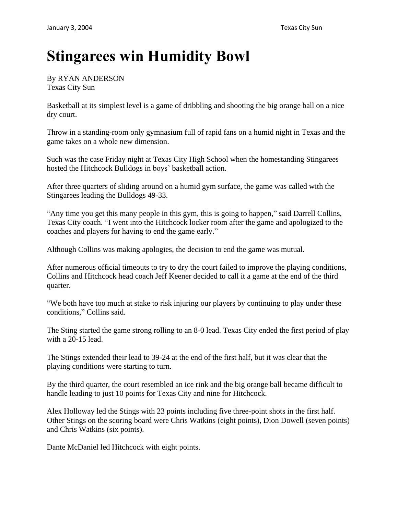## **Stingarees win Humidity Bowl**

By RYAN ANDERSON Texas City Sun

Basketball at its simplest level is a game of dribbling and shooting the big orange ball on a nice dry court.

Throw in a standing-room only gymnasium full of rapid fans on a humid night in Texas and the game takes on a whole new dimension.

Such was the case Friday night at Texas City High School when the homestanding Stingarees hosted the Hitchcock Bulldogs in boys' basketball action.

After three quarters of sliding around on a humid gym surface, the game was called with the Stingarees leading the Bulldogs 49-33.

"Any time you get this many people in this gym, this is going to happen," said Darrell Collins, Texas City coach. "I went into the Hitchcock locker room after the game and apologized to the coaches and players for having to end the game early."

Although Collins was making apologies, the decision to end the game was mutual.

After numerous official timeouts to try to dry the court failed to improve the playing conditions, Collins and Hitchcock head coach Jeff Keener decided to call it a game at the end of the third quarter.

"We both have too much at stake to risk injuring our players by continuing to play under these conditions," Collins said.

The Sting started the game strong rolling to an 8-0 lead. Texas City ended the first period of play with a 20-15 lead.

The Stings extended their lead to 39-24 at the end of the first half, but it was clear that the playing conditions were starting to turn.

By the third quarter, the court resembled an ice rink and the big orange ball became difficult to handle leading to just 10 points for Texas City and nine for Hitchcock.

Alex Holloway led the Stings with 23 points including five three-point shots in the first half. Other Stings on the scoring board were Chris Watkins (eight points), Dion Dowell (seven points) and Chris Watkins (six points).

Dante McDaniel led Hitchcock with eight points.